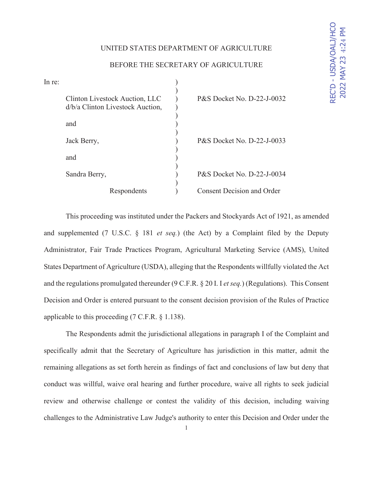## UNITED STATES DEPARTMENT OF AGRICULTURE

| In re: |                                                                    |                                   |
|--------|--------------------------------------------------------------------|-----------------------------------|
|        | Clinton Livestock Auction, LLC<br>d/b/a Clinton Livestock Auction, | P&S Docket No. D-22-J-0032        |
|        | and                                                                |                                   |
|        | Jack Berry,                                                        | P&S Docket No. D-22-J-0033        |
|        | and                                                                |                                   |
|        | Sandra Berry,                                                      | P&S Docket No. D-22-J-0034        |
|        | Respondents                                                        | <b>Consent Decision and Order</b> |

# BEFORE THE SECRETARY OF AGRICULTURE

This proceeding was instituted under the Packers and Stockyards Act of 1921, as amended and supplemented (7 U.S.C. § 181 *et seq.*) (the Act) by a Complaint filed by the Deputy Administrator, Fair Trade Practices Program, Agricultural Marketing Service (AMS), United States Department of Agriculture (USDA), alleging that the Respondents willfully violated the Act and the regulations promulgated thereunder (9 C.F.R. § 20 I. I *et seq.*) (Regulations). This Consent Decision and Order is entered pursuant to the consent decision provision of the Rules of Practice applicable to this proceeding (7 C.F.R. § 1.138).

The Respondents admit the jurisdictional allegations in paragraph I of the Complaint and specifically admit that the Secretary of Agriculture has jurisdiction in this matter, admit the remaining allegations as set forth herein as findings of fact and conclusions of law but deny that conduct was willful, waive oral hearing and further procedure, waive all rights to seek judicial review and otherwise challenge or contest the validity of this decision, including waiving challenges to the Administrative Law Judge's authority to enter this Decision and Order under the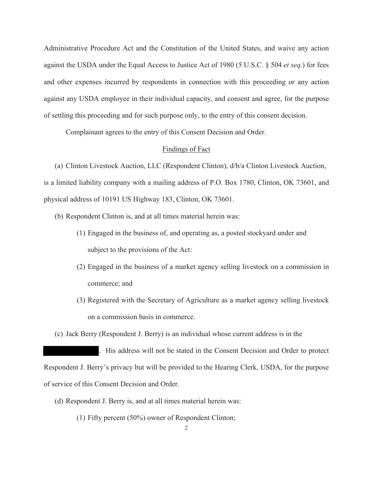Administrative Procedure Act and the Constitution of the United States, and waive any action against the USDA under the Equal Access to Justice Act of 1980 (5 U.S.C. § 504 *et seq.*) for fees and other expenses incurred by respondents in connection with this proceeding or any action against any USDA employee in their individual capacity, and consent and agree, for the purpose of settling this proceeding and for such purpose only, to the entry of this consent decision.

Complainant agrees to the entry of this Consent Decision and Order.

## Findings of Fact

(a) Clinton Livestock Auction, LLC (Respondent Clinton), d/b/a Clinton Livestock Auction, is a limited liability company with a mailing address of P.O. Box 1780, Clinton, OK 73601, and physical address of 10191 US Highway 183, Clinton, OK 73601.

- (b) Respondent Clinton is, and at all times material herein was:
	- (1) Engaged in the business of, and operating as, a posted stockyard under and subject to the provisions of the Act:
	- (2) Engaged in the business of a market agency selling livestock on a commission in commerce; and
	- (3) Registered with the Secretary of Agriculture as a market agency selling livestock on a commission basis in commerce.

(c) Jack Berry (Respondent J. Berry) is an individual whose current address is in the

. His address will not be stated in the Consent Decision and Order to protect Respondent J. Berry's privacy but will be provided to the Hearing Clerk, USDA, for the purpose of service of this Consent Decision and Order.

- (d) Respondent J. Berry is, and at all times material herein was:
	- (1) Fifty percent (50%) owner of Respondent Clinton;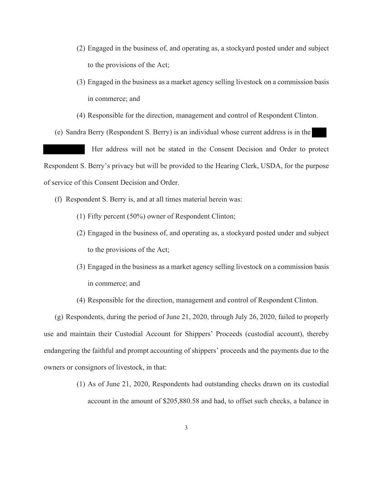- (2) Engaged in the business of, and operating as, a stockyard posted under and subject to the provisions of the Act;
- (3) Engaged in the business as a market agency selling livestock on a commission basis in commerce; and
- (4) Responsible for the direction, management and control of Respondent Clinton.
- (e) Sandra Berry (Respondent S. Berry) is an individual whose current address is in the

 Her address will not be stated in the Consent Decision and Order to protect Respondent S. Berry's privacy but will be provided to the Hearing Clerk, USDA, for the purpose of service of this Consent Decision and Order.

- (f) Respondent S. Berry is, and at all times material herein was:
	- (1) Fifty percent (50%) owner of Respondent Clinton;
	- (2) Engaged in the business of, and operating as, a stockyard posted under and subject to the provisions of the Act;
	- (3) Engaged in the business as a market agency selling livestock on a commission basis in commerce; and
	- (4) Responsible for the direction, management and control of Respondent Clinton.

(g) Respondents, during the period of June 21, 2020, through July 26, 2020, failed to properly use and maintain their Custodial Account for Shippers' Proceeds (custodial account), thereby endangering the faithful and prompt accounting of shippers' proceeds and the payments due to the owners or consignors of livestock, in that:

> (1) As of June 21, 2020, Respondents had outstanding checks drawn on its custodial account in the amount of \$205,880.58 and had, to offset such checks, a balance in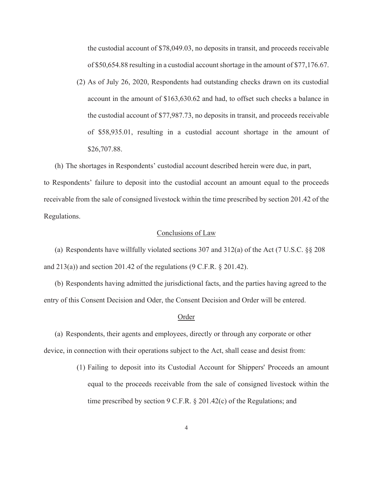the custodial account of \$78,049.03, no deposits in transit, and proceeds receivable of \$50,654.88 resulting in a custodial account shortage in the amount of \$77,176.67.

(2) As of July 26, 2020, Respondents had outstanding checks drawn on its custodial account in the amount of \$163,630.62 and had, to offset such checks a balance in the custodial account of \$77,987.73, no deposits in transit, and proceeds receivable of \$58,935.01, resulting in a custodial account shortage in the amount of \$26,707.88.

(h) The shortages in Respondents' custodial account described herein were due, in part,

to Respondents' failure to deposit into the custodial account an amount equal to the proceeds receivable from the sale of consigned livestock within the time prescribed by section 201.42 of the Regulations.

### Conclusions of Law

(a) Respondents have willfully violated sections 307 and 312(a) of the Act (7 U.S.C. §§ 208 and  $213(a)$  and section  $201.42$  of the regulations (9 C.F.R. § 201.42).

(b) Respondents having admitted the jurisdictional facts, and the parties having agreed to the entry of this Consent Decision and Oder, the Consent Decision and Order will be entered.

#### Order

(a) Respondents, their agents and employees, directly or through any corporate or other device, in connection with their operations subject to the Act, shall cease and desist from:

> (1) Failing to deposit into its Custodial Account for Shippers' Proceeds an amount equal to the proceeds receivable from the sale of consigned livestock within the time prescribed by section 9 C.F.R. § 201.42(c) of the Regulations; and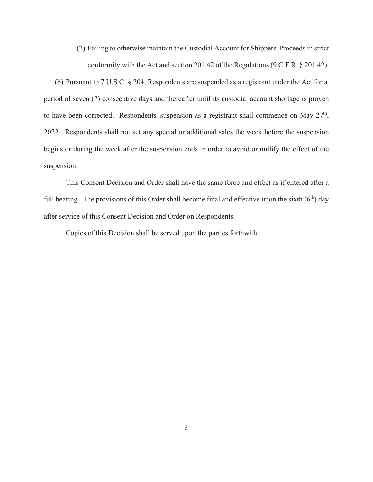(2) Failing to otherwise maintain the Custodial Account for Shippers' Proceeds in strict conformity with the Act and section 201.42 of the Regulations (9 C.F.R. § 201.42).

(b) Pursuant to 7 U.S.C. § 204, Respondents are suspended as a registrant under the Act for a period of seven (7) consecutive days and thereafter until its custodial account shortage is proven to have been corrected. Respondents' suspension as a registrant shall commence on May  $27<sup>th</sup>$ , 2022. Respondents shall not set any special or additional sales the week before the suspension begins or during the week after the suspension ends in order to avoid or nullify the effect of the suspension.

 This Consent Decision and Order shall have the same force and effect as if entered after a full hearing. The provisions of this Order shall become final and effective upon the sixth  $(6<sup>th</sup>)$  day after service of this Consent Decision and Order on Respondents.

Copies of this Decision shall be served upon the parties forthwith.